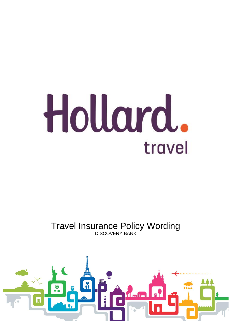# Hollard. travel

# Travel Insurance Policy Wording DISCOVERY BANK

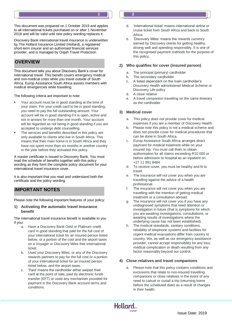Issue Date: 2019

#### This document was prepared on 1 October 2019 and applies to all international tickets purchased on or after 1 November 2018 and will be valid until new policy wording replaces it.

Discovery Bank international travel insurance is underwritten by The Hollard Insurance Limited (Hollard), a registered short-term insurer and an authorised financial services provider, and is managed by Oojah Travel Protection.

# **Overview OVERVIEW**

This document tells you about Discovery Bank's cover for international travel. This benefit covers emergency medical and non-medical costs while you travel outside of South Africa. Europ Assistance South Africa assists members with medical emergencies while travelling.

The following criteria are important to note:

- Your account must be in good standing at the time of your claim. For your credit card to be in good standing, you need to pay the full outstanding amount. Your account will be in good standing if it is open, active and not in arrears for more than one month. Your account will be regarded as not being in good standing if you are accepted to undergo debt counselling.
- The services and benefits described in this policy are only available to clients who live in South Africa. This means that their main home is in South Africa and they have not spent more than six months in another country in the year before they activated this policy.

A master certificate is issued to Discovery Bank. You must read the schedule of benefits together with this policy wording as they form the complete policy document for your international travel insurance cover.

It is also important that you read and understand both the certificate and the policy wording.

# **Important notes IMPORTANT NOTES**

Please note the following important features of your policy:

#### **1) Activating the automatic travel insurance benefit**

The international travel insurance benefit is available to you if you:

- a. Have a Discovery Bank Gold or Platinum credit card in good standing that paid for the full cost of your international ticket for an insured person listed below, or a portion of the cost and the airport taxes on a Voyager or Discovery Miles free international ticket.
- b. Used your Discovery Miles, or any of the Discovery rewards partners to pay for the full cost or a portion of your international ticket for an insured person listed below, and the airport taxes.
- c. 'Paid' means the cardholder either swiped their card at the point of sale, paid by electronic funds transfer (EFT) or used any mechanism provided for payment in the Discovery Bank account terms and conditions.
- d. 'International ticket' means international airline or cruise ticket from South Africa and back to South **Africa**
- e. 'Discovery Miles' means the rewards currency earned by Discovery clients for getting healthy, driving well and spending responsibly. It is one of the recognised payment methods for the purpose of this policy.

#### **2) Who qualifies for cover (insured person)**

- a. The principal (primary) cardholder
- b. The secondary cardholder
- c. A listed dependant on the main cardholder's Discovery Health administered Medical Scheme or Discovery Life policy
- d. A close relative
- e. A travel companion travelling on the same itinerary as the cardholder.

#### **3) Medical cover**

- a. This policy does not provide cover for medical expenses if you are a member of Discovery Health.
- b. Please note this policy is not a medical scheme and does not provide cover for medical procedures that can be done in South Africa.
- c. Europ Assistance South Africa arranges direct payment for medical treatment while on your insured trip. You must call them to obtain authorisation for all claims exceeding R10 000 or before admission to hospital as an inpatient on +27 11 991 8484.
- d. To receive cover, you must be healthy and fit to travel.
- e. The insurance will not cover you when you are travelling against the advice of a health professional.
- f. The insurance will not cover you when you are travelling with the intention of getting medical treatment or a consultation abroad.
- g. The insurance will not cover you if you have any undiagnosed symptoms that need attention or investigation in future (that is symptoms for which you are awaiting investigations, consultations, or awaiting results of investigations where the underlying cause has not been established).
- The medical standards, sanitary conditions, reliability of telephone systems and facilities for urgent medical evacuations differ from country to country. We, as well as our emergency assistance provider, cannot accept responsibility for any loss, medical complication or death resulting from any factor reasonably beyond our control.

#### **4) Close relatives and travel companions**

Please note that this policy contains conditions and exclusions that relate to non-insured travelling companions or close relatives in the event of any need to cancel or curtail a trip (returning home before the scheduled date) as a result of changes in their health.

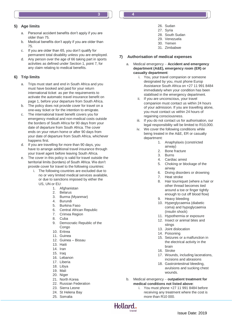# **5) Age limits**

- a. Personal accident benefits don't apply if you are older than 75.
- b. Medical benefits don't apply if you are older than 75.
- c. If you are older than 65, you don't qualify for permanent total disability unless you are employed.
- d. Any person over the age of 66 taking part in sports activities as defined under Section 1, point 7, for any claim relating to medical benefits.

# **6) Trip limits**

- a. Trips must start and end in South Africa and you must have booked and paid for your return international ticket as per the requirements to activate the automatic travel insurance benefit on page 1, before your departure from South Africa.
- b. The policy does not provide cover for travel on a one-way ticket or for the intention to emigrate.
- c. The international travel benefit covers you for emergency medical and non-medical costs outside the borders of South Africa for 90 days from your date of departure from South Africa. The cover ends on your return home or after 90 days from your date of departure from South Africa, whichever happens first.
- d. If you are travelling for more than 90 days, you have to arrange additional travel insurance through your travel agent before leaving South Africa.
- e. The cover in this policy is valid for travel outside the territorial limits (borders) of South Africa. We don't provide cover for travel to the following countries:
	- i. The following countries are excluded due to no or very limited medical services available, or due to sanctions imposed by either the US, UN or EU:
		- 1. Afghanistan
		- 2. Belarus
		- 3. Burma (Myanmar)
		- 4. Burundi
		- 5. Burkina Faso
		- 6. Central African Republic
		- 7. Crimea Region
		- 8. Cuba
		- 9. Democratic Republic of the Congo
		- 10. Eritrea
		- 11. Guinea
		- 12. Guinea Bissau
		- 13. Haiti
		- 14. Iran
		- 15. Iraq
		- 16. Lebanon
		- 17. Liberia
		- 18. Libya
		- 19. Mali
		- 20. Niger
		- 21. North Korea
		- 22. Russian Federation
		- 23. Sierra Leone
		- 24. St Helena Bay
		- 25. Somalia
- 26. Sudan 27. Syria
- 28. South Sudan
- 29. Venezuela
- 30. Yemen
- 31. Zimbabwe

# **7) Authorisation of medical expenses**

- a. Medical emergency **Accident and emergency department (A&E), emergency room (ER) or casualty department**:
	- i. You, your travel companion or someone designated by you, must phone Europ Assistance South Africa on +27 11 991 8484 immediately when your condition has been stabilised in the emergency department.
	- ii. If you are unconscious, your travel companion must contact us within 24 hours of your admission. If you are travelling alone, you must contact us within 24 hours of regaining consciousness.
	- iii. If you do not contact us for authorisation, our legal responsibility will be limited to R10,000.
	- iv. We cover the following conditions while being treated in the A&E, ER or casualty department:
		- 1. Anaphylaxis (constricted airway)
		- 2. Bone fracture
		- 3. Burns
		- 4. Cardiac arrest
		- 5. Choking or blockage of the airway
		- 6. Diving disorders or drowning
		- 7. Heat stroke
		- 8. Hair tourniquet (where a hair or other thread becomes tied around a toe or finger tightly enough to cut off blood flow)
		- 9. Heavy bleeding
		- 10. Hyperglycaemia (diabetic coma) and hypoglycaemia (insulin shock)
		- 11. Hypothermia or exposure
		- 12. Insect or animal bites and stings
		- 13. Joint dislocation
		- 14. Poisoning
		- 15. Seizures or a malfunction in the electrical activity in the brain
		- 16. Stroke
		- 17. Wounds, including lacerations, incisions and abrasions
		- 18. Gastrointestinal bleeding, avulsions and sucking chest wounds.
- b. Medical emergency **outpatient treatment for medical conditions not listed above**:
	- i. You must phone +27 11 991 8484 before receiving any treatment where the cost is more than R10 000.

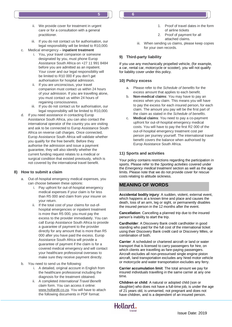- ii. We provide cover for treatment in urgent care or for a consultation with a general practitioner.
- iii. If you do not contact us for authorisation, our legal responsibility will be limited to R10,000.
- c. Medical emergency **inpatient treatment**
	- i. You, your travel companion or someone designated by you, must phone Europ Assistance South Africa on +27 11 991 8484 before you are admitted as an inpatient. Your cover and our legal responsibility will be limited to R10 000 if you don't get authorisation for hospital admission.
	- ii. If you are unconscious, your travel companion must contact us within 24 hours of your admission. If you are travelling alone, you must contact us within 24 hours of regaining consciousness.
	- iii. If you do not contact us for authorisation, our legal responsibility will be limited to R10,000.
- d. If you need assistance in contacting Europ Assistance South Africa, you can also contact the international operator of the country you are visiting and ask to be connected to Europ Assistance South Africa on reverse call charges. Once connected, Europ Assistance South Africa will validate whether you qualify for the free benefit. Before they authorise the admission and issue a payment guarantee, they will also identify whether the current funding request relates to a medical or surgical condition that existed previously, which is not covered by the international travel benefit.

# **8) How to submit a claim**

- a. Out-of-hospital emergency medical expenses, you can choose between these options:
	- i. Pay upfront for out-of-hospital emergency medical expenses if your claim is for less than R5 000 and claim from your insurer on your return.
	- ii. If the total cost of your claims for out-ofhospital emergencies or inpatient treatment is more than R5 000, you must pay the excess to the provider immediately. You can call Europ Assistance South Africa to provide a guarantee of payment to the provider directly for any amount that is more than R5 000 after you have paid the excess. Europ Assistance South Africa will provide a guarantee of payment if the claim is for a covered medical emergency and will contact your healthcare professional overseas to make sure they receive payment directly.
- b. You need to send us the following:
	- i. A detailed, original account in English from the healthcare professional including the diagnosis for the treatment obtained.
	- ii. A completed *International Travel Benefit claim* form. You can access it online: [www.hollardti.co.za.](http://www.hollardti.co.za/) You will have to attach the following documents in PDF format:
- 1. Proof of travel dates in the form of airline tickets
- 2. Proof of payment for all attached claims.
- iii. When sending us claims, please keep copies for your own records.

## **9) Third-party liability**

If you use any mechanically propelled vehicle, (for example, a car, rental car, motorcycle or scooter), you will not qualify for liability cover under this policy.

#### **10) Policy excess**

- a. Please refer to the *Schedule of benefits* for the excess amount that applies to each benefit.
- b. **Non-medical claims**: You may have to pay an excess when you claim. This means you will have to pay the excess for each insured person, for each claim. The amount you pay will be the first part of the claim as stated in the *Schedule of benefits*.
- c. **Medical claims**: You need to pay a co-payment upfront for out-of-hospital emergency medical costs. You will have to pay the first R2 000 of the out-of-hospital emergency treatment cost per person per journey yourself. The international travel benefit covers the balance when authorised by Europ Assistance South Africa.

#### **11) Sports and activities**

Your policy contains restrictions regarding the participation in sports. Please refer to the *Sporting activities* covered under the *Emergency medical treatment* section as well as the age limits. Please note that we do not provide cover for rescue costs relating to altitude sickness.

# **Meaning of words MEANING OF WORDS**

**Accidental bodily injury**: A sudden, violent, external event, which happens at a known time and place and causes the death, loss of an arm, leg or sight, or permanently disables the insured person in the 12 months after the event.

**Cancellation**: Cancelling a planned trip due to the insured person's inability to start the trip.

**Cardholder**: A Discovery Bank credit cardholder in good standing who paid for the full cost of the international ticket using their Discovery Bank credit card or Discovery Miles, or combination of both.

**Carrier**: A scheduled or chartered aircraft or land or water transport that is licensed to carry passengers for hire, on which clients are travelling as fare-paying passengers. Aircraft excludes all non-pressurised single engine piston aircraft, land transportation excludes any hired motor vehicle or motorcycle and water transportation excludes any ferry.

**Carrier accumulation limit**: The total amount we pay for insured individuals travelling in the same carrier at any one time.

**Children or child**: A natural or adopted child (son or daughter) who does not have a full-time job, is under the age of 21 years old, is unmarried, not pregnant and does not have children, and is a dependent of an insured person.

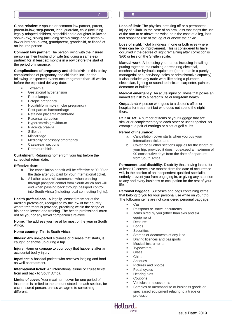**Close relative**: A spouse or common law partner, parent, parent-in-law, step-parent, legal guardian, child (including legally adopted children, stepchild and a daughter-in-law or son-in-law), sibling (including step-siblings and a sister-inlaw or brother-in-law), grandparent, grandchild, or fiancé of an insured person.

**Common law partner**: The person living with the insured person as their husband or wife (including a same-sex partner) for at least six months in a row before the start of the period of insurance.

**Complications of pregnancy and childbirth**: In this policy, complications of pregnancy and childbirth include the following unexpected events occurring more than 15 weeks before the expected delivery date:

- Toxaemia
- Gestational hypertension
- Pre-eclampsia
- Ectopic pregnancy
- Hydatidiform mole (molar pregnancy)
- Post-partum haemorrhage
- Retained placenta membrane
- Placental abruption
- Hyperemesis gravidarum
- Placenta praevia
- **Stillbirth**
- **Miscarriage**
- Medically necessary emergency
- Caesarean sections
- Premature birth.

#### **Curtailment**: Returning home from your trip before the scheduled return date.

#### **Effective date**:

- a. The cancellation benefit will be effective at 00:00 on the date after you paid for your international ticket.
- b. All other cover will commence when passing through passport control from South Africa and will end when passing back through passport control into South Africa (including local connecting flights).

**Health professional**: A legally licensed member of the medical profession, recognised by the law of the country where treatment is provided, practicing within the scope of his or her licence and training. The health professional must not be your or any travel companion's relative.

**Home**: The address you live at for most of the year in South Africa.

**Home country**: This is South Africa.

**Illness**: Any unexpected sickness or disease that starts, is caught, or shows up during a trip.

**Injury**: Harm or damage to your body that happens after an accidental bodily injury.

**Inpatient**: A hospital patient who receives lodging and food as well as treatment.

**International ticket**: An international airline or cruise ticket from and back to South Africa.

**Limits of cover**: Your maximum cover for one period of insurance is limited to the amount stated in each section, for each insured person, unless we agree to something different.

**Loss of limb**: The physical breaking off or a permanent injury of a limb. In the case of an arm, loss that stops the use of the arm at or above the wrist, or in the case of a leg, loss that stops the use of the leg at or above the ankle.

**Loss of sight**: Total blindness in one or both eyes where there can be no improvement. This is considered to have occurred if the degree of sight remaining after correction is 3/60 or less on the Snellen scale.

**Manual work**: A job using your hands including installing, putting together, maintaining or repairing electrical, mechanical or hydraulic equipment (other than in a purely managerial or supervisory, sales or administrative capacity). It also includes any trade work like being a plumber, electrician, lighting or sound technician, carpenter, painter, decorator or builder.

**Medical emergency**: An acute injury or illness that poses an immediate risk to a person's life or long-term health.

**Outpatient:** A person who goes to a doctor's office or hospital for treatment but who does not spend the night there.

Pair or set: A number of items of your luggage that are similar or complementary to each other or used together, for example, a pair of earrings or a set of golf clubs.

#### **Period of insurance**:

**7 8**

- a. Cancellation cover starts when you buy your international ticket, and
- b. Cover for all other sections applies for the length of your trip, provided it does not exceed a maximum of 90 consecutive days from the date of departure from South Africa.

**Permanent total disability**: Disability that, having lasted for at least 12 consecutive months from the date of occurrence will, in the opinion of an independent qualified specialist, entirely prevent you from engaging in, or giving any attention to any and every business or occupation for the rest of your life.

**Personal baggage**: Suitcases and bags containing items that belong to you for your personal use while on your trip. The following items are not considered personal baggage:

- Cash
- Passports or travel documents
- Items hired by you (other than skis and ski equipment)
- **Dentures**
- **Bonds**
- **Securities**
- Stamps or documents of any kind
- Driving licences and passports
- Musical instruments
- **Typewriters**
- Glass
- China
- Antiques
- Pictures and photos
- Pedal cycles
- Hearing aids
- Coupons
- Vehicles or accessories
- Samples or merchandise or business goods or specialised equipment relating to a trade or profession

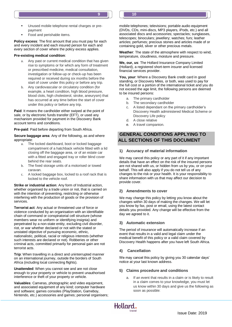- Unused mobile telephone rental charges or prepayment
- Food and perishable items.

**Policy excess**: The first amount that you must pay for each and every incident and each insured person for each and every section of cover where the policy excess applies.

#### **Pre-existing medical condition**:

- a. Any past or current medical condition that has given rise to symptoms or for which any form of treatment or prescribed medicine, medical consultation, investigation or follow-up or check-up has been required or received during six months before the start of cover under this policy or before any trip.
- b. Any cardiovascular or circulatory condition (for example, a heart condition, high blood pressure, blood clots, high cholesterol, stroke, aneurysm) that has occurred at any time before the start of cover under this policy or before any trip.

**Paid**: It means the cardholder either swiped at the point of sale, or by electronic funds transfer (EFT), or used any mechanism provided for payment in the Discovery Bank account terms and conditions.

**Pre-paid**: Paid before departing from South Africa.

**Secure baggage area**: Any of the following, as and where appropriate:

- a. The locked dashboard, boot or locked baggage compartment of a hatchback vehicle fitted with a lid closing off the baggage area, or of an estate car with a fitted and engaged tray or roller blind cover behind the rear seats.
- b. The fixed storage units of a motorised or towed caravan.
- c. A locked baggage box, locked to a roof rack that is locked to the vehicle roof.

**Strike or industrial action:** Any form of Industrial action, whether organised by a trade union or not, that is carried on with the intention of preventing, restricting or otherwise interfering with the production of goods or the provision of services.

**Terrorist act**: Any actual or threatened use of force or violence conducted by an organisation with an identifiable chain of command or conspiratorial cell structure (whose members wear no uniform or identifying insignia) and perpetrated by a non-state entity, excluding civil disorder, riot, or war whether declared or not with the stated or unstated objective of pursuing economic, ethnic, nationalistic, political, racial or religious interests (whether such interests are declared or not). Robberies or other criminal acts, committed primarily for personal gain are not terrorist acts.

**Trip**: When travelling in a direct and uninterrupted manner on an international journey, outside the borders of South Africa (including local connecting flights).

**Unattended**: When you cannot see and are not close enough to your property or vehicle to prevent unauthorised interference or theft of your property or vehicle.

**Valuables**: Cameras, photographic and video equipment, and associated equipment of any kind; computer hardware and software; games consoles (PlayStation, Gameboy, Nintendo, etc.) accessories and games; personal organisers;

mobile telephones; televisions; portable audio equipment (DVDs, CDs, mini-discs, MP3 players, iPods, etc.) and all associated discs and accessories; spectacles; sunglasses, telescopes; binoculars; jewellery; watches; furs; leather articles; perfumes; precious stones and articles made of or containing gold, silver or other precious metals.

**Weather**: The state of the atmosphere with respect to wind, temperature, cloudiness, moisture and pressure.

**We, our, us**: The Hollard Insurance Company Limited (Hollard), a registered short-term insurer and licensed financial services provider.

You, your: Where a Discovery Bank credit card in good standing, or Discovery Miles, or both, was used to pay for the full cost or a portion of the international ticket and you do not exceed the age limit, the following persons are deemed to be insured persons:

- a. The primary cardholder
- b. The secondary cardholder
- c. A listed dependant on the primary cardholder's Discovery Health administered Medical Scheme or Discovery Life policy
- d. A close relative
- e. A travel companion.

#### **General conditions applying to all sections of this document ALL SECTIONS OF THIS DOCUMENTGENERAL CONDITIONS APPLYING TO**

#### **1) Accuracy of material information**

We may cancel this policy or any part of it if any important details that have an effect on the risk of the insured persons are not shared with us, or hidden from us by you, or on your behalf. This will also apply if you do not tell us of any changes to the risk or your health. It is your responsibility to share information with us that may affect our decision to provide cover.

#### **2) Amendments to cover**

We may change this policy by letting you know about the changes within 30 days of making the changes. We will let you know by fax, post or email, using the latest contact details you provided. Any change will be effective from the day we agreed to it.

#### **3) Automatic extension**

The period of insurance will automatically increase if an event that results in a valid and legal claim under the medical benefit of this policy or a valid claim covered by Discovery Health happens after you have left South Africa.

#### **4) Cancellation**

We may cancel this policy by giving you 30 calendar days' notice at your last known address.

#### **5) Claims procedure and conditions**

If an event that results in a claim or is likely to result in a claim comes to your knowledge, you must let us know within 30 days and give us the following as soon as possible:

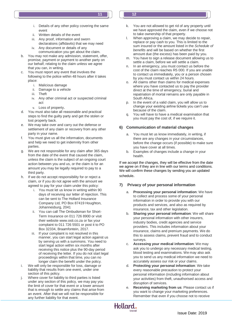- i. Details of any other policy covering the same event
- ii. Written details of the event
- iii. Any proof, information and sworn declarations (affidavits) that we may need
- iv. Any document or details of any communication you get about the claim.
- b. You may not make any admission, statement, offer, promise, payment or payment to another party on our behalf, relating to the claim unless we agree that you can, in writing.
- c. You must report any event that involves the following to the police within 48 hours after it takes place:
	- i. Malicious damage
	- ii. Damage to a vehicle
	- iii. Theft
	- iv. Any other criminal act or suspected criminal act
	- v. Loss of property.
- d. You must also take all reasonable and practical steps to find the guilty party and get the stolen or lost property back.
- e. We may take over and carry out the defense or settlement of any claim or recovery from any other party in your name.
- f. You must give us all the information, documents and help we need to get indemnity from other parties.
- We are not responsible for any claim after 365 days from the date of the event that caused the claim, unless the claim is the subject of an ongoing court action between you and us, or the claim is for an amount you may be legally required to pay to a third party.
- h. If we do not accept responsibility for or reject a claim, or if you do not agree with the amount we agreed to pay for your claim under this policy:
	- i. You must let us know in writing within 90 days of receiving our letter of rejection. This can be sent to The Hollard Insurance Company Ltd, PO Box 87419 Houghton, Johannesburg, 2041
	- ii. You can call The Ombudsman for Short-Term Insurance on 011 726 8900 or visit their websit[e www.osti.co.za](http://www.osti.co.za/) or fax your complaint to 011 726 5501 or post it to PO Box 32334, Braamfontein, 2017.
	- iii. If your complaint is not resolved in this manner, you can start legal action against us by serving us with a summons. You need to start legal action within six months after receiving this notice plus the 90-day period of receiving the letter. If you do not start legal proceedings within that time, you can no longer claim the benefit under the policy.
- i. We will only be responsible for loss, damage or liability that results from one event, under one section of this policy.
- Where cover for liability to third parties is listed under any section of this policy, we may pay you the limit of cover for that event or a lower amount that is enough to settle any claims that arise from an event. After that we will not be responsible for any further liability for that event.
- k. You are not allowed to get rid of any property until we have approved the claim, even if we choose not to take ownership of that property.
- l. When approving a claim, we may decide to repair, replace or pay cash to you. This is limited to the sum insured or the amount listed in the *Schedule of benefits* and will be based on whether the first amount due (the excess) has been paid by you.
- m. You have to sign a release document allowing us to settle a claim, before we will settle a claim.
- In an emergency, you must contact us before the cost of the claim reaches R5 000. If you are unable to contact us immediately, you or a person chosen by you must contact us within 24 hours.
- o. All claims other than claims for medical expenses where you have contacted us to pay the provider direct at the time of emergency, burial and repatriation of mortal remains are only payable in South Africa.
- p. In the event of a valid claim, you will allow us to change your existing airline tickets you can't use because of the claim.
- q. You will have to have a medical examination that you must pay the cost of, if we require it.

# **6) Communication of material changes**

- a. You must let us know immediately, in writing, if there are any changes in your circumstances, before the change occurs (if possible) to make sure you have cover at all times.
- b. Examples of changes include a change in your health.

If we accept the changes, they will be effective from the date we agree on if they are in line with our terms and conditions. We will confirm these changes by sending you an updated schedule.

# **7) Privacy of your personal information**

- a. **Processing your personal information**: We have to collect and process some of your personal information in order to provide you with our products and services, and also as required by insurance, tax and other legislation.
- b. **Sharing your personal information**: We will share your personal information with other insurers, industry bodies, credit agencies and service providers. This includes information about your insurance, claims and premium payments. We do this to assess claims, prevent fraud and to conduct surveys.
- c. **Accessing your medical information**: We may ask you to undergo any necessary medical testing, blood testing and examinations. We may also ask you to send us any medical information we need to accurately assess our risk or your claims.
- d. **Protecting your personal information**: We take every reasonable precaution to protect your personal information (including information about your activities) from theft, unauthorised access and disruption of services.
- e. **Receiving marketing from us**: Please contact us if you want to change your marketing preferences. Remember that even if you choose not to receive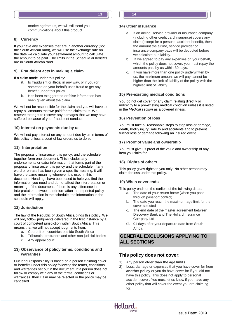

marketing from us, we will still send you communications about this product.

#### **8) Currency**

If you have any expenses that are in another currency (not the South African rand), we will use the exchange rate on the date we calculate your settlement amount to calculate the amount to be paid. The limits in the *Schedule of benefits* are in South African rand.

#### **9) Fraudulent acts in making a claim**

If a claim made under this policy:

- a. Is fraudulent or illegal in any way, or if you (or someone on your behalf) uses fraud to get any benefit under this policy
- b. Has been exaggerated or false information has been given about the claim

We will not be responsible for the claim and you will have to repay all amounts that we paid for the claim to us. We reserve the right to recover any damages that we may have suffered because of your fraudulent conduct.

#### **10) Interest on payments due by us**

We will not pay interest on any amount due by us in terms of this policy unless a court of law orders us to do so.

#### **11) Interpretation**

The proposal of insurance, this policy, and the schedule together form one document. This includes any endorsements or extra information that forms part of the proposal of insurance, this policy and the schedule. If any word or phrase has been given a specific meaning, it will have the same meaning wherever it is used in this document. Headings have been used to help you find the information you need and do not affect the interpretation or meaning of the document. If there is any difference in interpretation between the information in the printed policy and the information in the schedule, the information in the schedule will apply.

#### **12) Jurisdiction**

The law of the Republic of South Africa binds this policy. We will only follow judgments delivered in the first instance by a court of competent jurisdiction within South Africa. This means that we will not accept judgments from:

- a. Courts from countries outside South Africa
- b. Tribunals, arbitrators and other non-judicial bodies
- c. Any appeal court.

#### **13) Observance of policy terms, conditions and warranties**

Our legal responsibility is based on a person claiming cover or benefits under this policy following the terms, conditions and warranties set out in the document. If a person does not follow or comply with any of the terms, conditions or warranties, their claim may be rejected or the policy may be cancelled.

#### **14) Other insurance**

- a. If an airline, service provider or insurance company (including other credit card insurance) covers any claim (except for a personal accident benefit), then the amount the airline, service provider or insurance company pays will be deducted before we calculate our liability.
- b. If we agreed to pay any expenses on your behalf, which the policy does not cover, you must repay the amounts paid by us within 30 days.
- c. If you have more than one policy underwritten by us, the maximum amount we will pay cannot be higher than the limit of liability of the policy with the highest limit of liability.

#### **15) Pre-existing medical conditions**

You do not get cover for any claim relating directly or indirectly to a pre-existing medical condition unless it is listed in the *Medical section* as a covered illness.

#### **16) Prevention of loss**

You must take all reasonable steps to stop loss or damage, death, bodily injury, liability and accidents and to prevent further loss or damage following an insured event.

#### **17) Proof of value and ownership**

You must give us proof of the value and ownership of any item you claim for.

#### **18) Rights of others**

This policy gives rights to you only. No other person may claim for loss under this policy.

#### **19) When cover ends**

This policy ends on the earliest of the following dates:

- a. The date of your return home (when you pass through passport control)
- b. The date you reach the maximum age limit for the cover selected
- The end date of the master agreement between Discovery Bank and The Hollard Insurance Company Ltd
- d. 91 days after your departure date from South Africa.

# **General exclusions applying to all sections GENERAL EXCLUSIONS APPLYING TO ALL SECTIONS**

#### **This policy does not cover:**

- 1) Any person **older than the age limits**.
- 2) Loss, damage or expenses that you have cover for from **another policy** or you do have cover for if you did not have this policy. This does not apply to personal accident cover. You must let us know if you have any other policy that will cover the event you are claiming for.

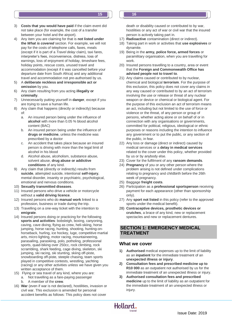- 3) **Costs that you would have paid** if the claim event did not take place (for example, the cost of a transfer between your hotel and the airport).
- 4) Any item you are claiming for that is **not listed under the** *What is covered* section. For example, we will not pay for the costs of telephone calls, faxes, meals (except if it is part of a *Travel delay* claim), taxi fares, interpreter's fees, inconvenience, distress, loss of earnings, loss of enjoyment of holiday, timeshare fees, holiday points, rescue costs, unused travel and accommodation (except if it was cancelled before your departure date from South Africa) and any additional travel and accommodation not pre-authorised by us.
- 5) A **deliberate reckless and irresponsible act or omission** by you.
- 6) Any claim resulting from you acting **illegally or criminally**.
- 7) Unnecessarily putting yourself in **danger**, except if you are trying to save a human life.
- 8) Any claim that happens (directly or indirectly) because of:
	- a. An insured person being under the influence of **alcohol** with more than 0.05 % blood alcohol content (BAC)
	- b. An insured person being under the influence of **drugs or medicine**, unless the medicine was prescribed by a doctor
	- c. An accident that takes place because an insured person is driving with more than the legal limit of alcohol in his blood
	- d. Alcohol abuse, alcoholism, substance abuse, solvent abuse, **drug abuse or addictive conditions** of any kind.
- 9) Any claim that (directly or indirectly) results from **suicide**, attempted suicide, intentional **self-injury**, mental disorder, insanity or psychiatric, psychological, emotional and nervous conditions.
- 10) **Sexually transmitted diseases**.
- 11) Insured persons who drive a vehicle or motorcycle without a **valid driving licence**.
- 12) Insured persons who do **manual work** linked to a profession, business or trade during the trip.
- 13) Travelling on a one-way ticket with the intention to **emigrate**.
- 14) Insured persons doing or practicing for the following **sports and activities**: bobsleigh, boxing, canyoning, caving, cave diving, flying as crew, heli-skiing, horse jumping, horse racing, hunting, shooting, hunting-onhorseback, hurling, ice hockey, luge, competitive martial arts, micro lighting, motor racing, mountaineering, parasailing, paraskiing, polo, potholing, professional sports, quad-biking over 250cc, rock climbing, rock scrambling, shark feeding, cage diving, skeleton, ski jumping, ski racing, ski stunting, skiing off-piste, snowboarding off-piste, steeple chasing, team sports played in competitive contests, wrestling, yachting (racing) or any other activities unless we have given you written acceptance of them.
- 15) Flying or sea travel of any kind, where you are: a. Not travelling as a fare-paying passenger
	- b. A member of the **crew**.
- 16) **War** (even if war is not declared), hostilities, invasion or civil war. This exclusion is amended for personal accident benefits as follows: This policy does not cover

death or disability caused or contributed to by war, hostilities or any act of war or civil war that the insured person is actively taking part in.

- 17) **Radioactive** contamination (direct or indirect).
- 18) Taking part in work or activities that **use explosives** or dynamite.
- 19) Being in the **army, police force, armed forces** or paramilitary organisation, when you are travelling for work.
- 20) Insured persons travelling to a country, area or event that the **Foreign and Commonwealth Office has advised people not to travel to**.
- 21) Any claims caused or contributed to by nuclear, chemical and biological **terrorism**. For the purpose of this exclusion, this policy does not cover any claims in any way caused or contributed to by an act of terrorism involving the use or release or threat of any nuclear weapon or device or chemical or biological agent. For the purpose of this exclusion an act of terrorism means an act, including but not limited to the use of force or violence or the threat, of any person or group of persons, whether acting alone or on behalf of or in connection with any organisations or governments, committed for political, religious, ideological or ethnic purposes or reasons including the intention to influence any government or to put the public, or any section of the public, in fear.
- 22) Any loss or damage (direct or indirect) caused by medical services or a **delay in medical services**  related to the cover under this policy, whether provided by us or by anybody else.
- 23) Cover for the fulfilment of any **ransom demands**.
- 24) **Pregnancy** of you or any other person where the problem arising is not defined under complications relating to pregnancy and childbirth before the 26th week of pregnancy.
- 25) Baggage **freight costs**.
- 26) Participation as a **professional sportsperson** receiving payment for each appearance (other than sponsorship only).
- 27) Any **sport not listed** in this policy (refer to the approved sports under the medical benefit).
- 28) **Contraceptive devices, prosthetic devices or crutches**, a brace of any kind, new or replacement spectacles and new or replacement dentures.

# **Section 1: Emergency medical SECTION 1: EMERGENCY MEDICAL treatment TREATMENT**

# **What we cover**

- **1) Authorised** medical expenses up to the limit of liability as an **inpatient** for the immediate treatment of an **unexpected illness or injury**.
- **2) Consultation fees and prescribed medicine up to R10 000** as an outpatient not authorised by us for the immediate treatment of an unexpected illness or injury.
- **3) Authorised consultation fees and prescribed medicine** up to the limit of liability as an outpatient for the immediate treatment of an unexpected illness or injury.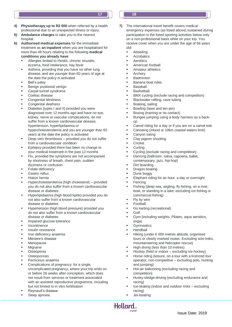- **4) Physiotherapy up to R2 000** when referred by a health professional due to an unexpected illness or injury.
- **5) Ambulance charges** to take you to the nearest hospital.
- **6) Authorised medical expenses** for the immediate treatment as **an inpatient** when you are hospitalised for more than 48 hours relating to the following **medical conditions you already have**:
	- Allergies limited to rhinitis, chronic sinusitis, eczema, food intolerance, hay fever
	- Asthma, providing that you have no other lung disease, and are younger than 60 years of age at the date the policy is activated
	- Bell's palsy
	- Benign positional vertigo
	- Carpal tunnel syndrome
	- Coeliac disease
	- Congenital blindness
	- Congenital deafness
	- Diabetes (types I and II) provided you were diagnosed over 12 months ago and have no eye, kidney, nerve or vascular complications, do not suffer from a known cardiovascular disease, hypertension, hyperlipidaemia or hypercholesterolemia and you are younger than 65 years at the date the policy is activated
	- Deep vein thrombosis provided you do not suffer from a cardiovascular condition
	- Epilepsy provided there has been no change to your medical treatment in the past 12 months
	- Flu, provided the symptoms are not accompanied by shortness of breath, chest pain, sudden dizziness or confusion
	- Folate deficiency
	- Gastric reflux
	- Hiatus hernia
	- Hypercholesterolemia (high cholesterol) provided you do not also suffer from a known cardiovascular disease or diabetes
	- Hyperlipidaemia (high blood lipids) provided you do not also suffer from a known cardiovascular disease or diabetes
	- Hypertension (high blood pressure) provided you do not also suffer from a known cardiovascular disease or diabetes
	- Impaired glucose tolerance
	- Incontinence
	- Insulin resistance
	- Iron deficiency anaemia
	- Meniere's disease
	- Menopause
	- Migraine
	- **Osteopenia**
	- **Osteoporosis**
	- Pernicious anaemia
	- Complications of pregnancy: for a single, uncomplicated pregnancy, where your trip ends on or before 26 weeks after conception, which does not result from services or treatment associated with an assisted reproductive programme, including but not limited to in vitro fertilisation
	- Raynaud's disease
	- Sleep apnoea.
- **17 18**
	- **7)** The international travel benefit covers medical emergency expenses (as listed above) sustained during participation in the listed sporting activities below only on a non-professional basis while on your trip. You receive cover when you are under the age of 66 years old:
		- Abseiling
		- **Acrobatics**
		- Aerobics
		- American football
		- Amateur athletics
		- Archery
		- **Badminton**
		- Banana boat rides
		- **Baseball**
		- **Basketball**
		- BMX cycling (exclude racing and competition)
		- Blackwater rafting, cave tubing
		- Boating, sailing
		- Bowling (lawn and ten-pin)
		- Boxing (training or no contact)
		- Bungee jumping using a body harness as a backup
		- Camel riding for a day or if you are on a camel trek
		- Canoeing (inland or 10km coastal waters limit)
		- Canyon swing
		- Clay pigeon shooting
		- **Cricket**
		- **Curling**
		- Cycling (exclude racing and competition)
		- Dancing (ballroom, salsa, capoeira, ballet, contemporary, jazz, hip-hop)
		- Dirt boarding
		- Dragon boating
		- Dune buggy
		- Elephant riding for an hour, a day or overnight
		- Fencing
		- Fishing (deep sea, angling, fly fishing, on a river, boat, or standing in a lake: excluding ice fishing or commercial fishing)
		- Fly by wire
		- Football
		- Go karting (recreational)
		- Golf
		- Gym (including weights, Pilates, aqua aerobics, yoga)
		- **Gymnastics**
		- Handball
		- Hiking (under 6 000 metres altitude, organised tours or clearly marked routes. Excluding solo treks, mountaineering and helicopter rescue)
		- High diving (less than 10 metres)
		- Hockey (field or indoor excluding ice hockey)
		- Horse riding (leisure, on a tour with a licenced tour operator, non-competitive – excluding polo, hunting and jumping)
		- Hot-air ballooning (excluding racing and competition)
		- Husky-sledge-driving (excluding endurance and racing)
		- Ice-skating (indoor and outdoor rinks excluding racing)
		- Jet-boating

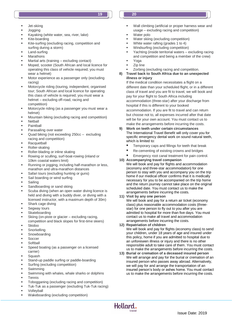- Jet-skiing
- Jogging
- Kayaking (white water, sea, river, lake)
- Kite-boarding
- Kite-surfing (excluding racing, competition and surfing during a storm)
- Land-surfing
- Marathons
- Martial arts (training excluding contact)
- Moped, scooter (South African and local licence for operating this class of vehicle required; you must wear a helmet)
- Motor experience as a passenger only (excluding racing)
- Motorcycle riding (touring, independent, organised tour; South African and local licence for operating this class of vehicle is required; you must wear a helmet – excluding off-road, racing and competition)
- Motorcycle riding (as a passenger you must wear a helmet)
- Mountain biking (excluding racing and competition)
- **Netball**
- Paintball
- Parasailing over water
- Quad biking (not exceeding 250cc excluding racing and competition)
- **Racquetball**
- Roller-skating
- Roller-blading or inline skating
- Rowing or sculling, surf-boat-rowing (inland or 10km coastal waters limit)
- Running or jogging, including half-marathon or less, marathon and ultra-marathon distances
- Safari tours (excluding hunting or guns)
- Sail boarding or wind surfing
- **Sailing**
- Sandboarding or sand skiing
- Scuba diving (when an open water diving licence is held and diving with a buddy diver, or diving with a licensed instructor, with a maximum depth of 30m)
- Shark cage diving
- Segway tours
- **Skateboarding**
- Skiing (on-piste or glacier excluding racing, competition and black slopes for first-time skiers)
- Skidoo
- **Snorkelling**
- Snowboarding
- **Soccer**
- **Softball**
- Speed boating (as a passenger on a licensed carrier)
- **Squash**
- Stand-up paddle surfing or paddle-boarding
- Surfing (excluding competition)
- Swimming
- Swimming with whales, whale sharks or dolphins
- Tennis
- Tobogganing (excluding racing and competition)
- Tuk-Tuk as a passenger (excluding Tuk-Tuk racing)
- Volleyball
- Wakeboarding (excluding competition)
- Wall climbing (artificial or proper harness wear and usage – excluding racing and competition)
- Water polo
- Water skiing (excluding competition)
- White water rafting (grades 1 to 4)
- Windsurfing (excluding competition)
- Yachting (inside territorial waters excluding racing and competition and being a member of the crew)
- Yoga
- Zip line Zorbing (excluding racing and competition.
- **8) Travel back to South Africa due to an unexpected illness or injury**

If the medical condition necessitates a flight on a different date than your scheduled flight, or in a different class of travel and you are fit to travel, we will book and pay for your flight to South Africa including accommodation (three-star) after your discharge from hospital if this is different to your booked accommodation. If you are fit to travel and can return but choose not to, all expenses incurred after that date will be for your own account. You must contact us to make the arrangements before incurring the costs.

- **9) Work on teeth under certain circumstances**  The International Travel Benefit will only cover you for specific emergency dental work on sound natural teeth, which is limited to:
	- Temporary caps and fillings for teeth that break
	- Re-cementing of existing crowns and bridges
	- Emergency root canal treatment for pain control.
- **10) Accompanying travel companion** We will book and pay for flights and accommodation (economy and three-star accommodation) for one person to stay with you and accompany you on the trip home if our medical officer confirms that it is medically necessary for you to be accompanied on the trip home and the return journey cannot take place on the original scheduled date. You must contact us to make the arrangements before incurring the costs.

#### **11) Visit by any one person**

We will book and pay for a return air ticket (economy class) plus reasonable accommodation costs (threestar) for one person to fly out to you after you are admitted to hospital for more than five days. You must contact us to make all travel and accommodation arrangements before incurring the costs.

#### **12) Repatriation of children**

We will book and pay for flights (economy class) to send your children, under 18 years of age and insured under this policy, home if you are admitted to hospital due to an unforeseen illness or injury and there is no other responsible adult to take care of them. You must contact us to make the arrangements before incurring the costs.

**13) Burial or cremation of a deceased insured person** We will arrange and pay for the burial or cremation of an insured person who passes away abroad. Alternatively, we will pay for and arrange the transportation of an insured person's body or ashes home. You must contact us to make the arrangements before incurring the costs.

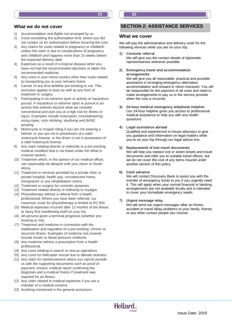#### **What we do not cover**

- 1) Accommodation and flights not arranged by us.
- 2) Costs exceeding the authorisation limit, where you did not contact us for authorisation before incurring the cost.
- 3) Any claims for costs related to pregnancy or childbirth unless the claim is due to complications of pregnancy and childbirth and happens more than 15 weeks before the expected delivery date.
- Expenses as a result of a tropical disease when you have not had the recommended injections or taken the recommended medicine.
- 5) Any costs in your home country other than costs related to transporting you or your remains home.
- 6) Cancer of any kind whether pre-existing or not. This exclusion applies to tests as well as any form of treatment or surgery.
- 7) Participating in an extreme sport or activity or hazardous pursuit. A hazardous or extreme sport or pursuit is an activity that extends beyond what we consider conventional and puts you at a high risk for illness or injury. Examples include motorsport, mountaineering using ropes, rock climbing, skydiving and BASE jumping.
- 8) Motorcycle or moped riding if you are not wearing a helmet, or you are not in possession of a valid motorcycle license, or the driver is not in possession of a valid motorcycle license.
- 9) Any claim relating directly or indirectly to a pre-existing medical condition that is not listed under the *What is covered* section*.*
- 10) Treatment which, in the opinion of our medical officer, can reasonably be delayed until your return to South Africa.
- 11) Treatment or services provided by a private clinic or private hospital, health spa, convalescent home, chiropractor or any rehabilitation centre.
- 12) Treatment or surgery for cosmetic purposes.
- 13) Treatment related directly or indirectly to myalgia.
- 14) Physiotherapy without a referral from a health professional. Where you have been referred, our maximum cover for physiotherapy is limited to R2 000.
- 15) Medical expenses incurred after 12 months of the illness or injury first manifesting itself on your trip.
- 16) All persons given a terminal prognosis (whether preexisting or not).
- 17) Treatment and medicine in connection with the stabilisation and regulation of a pre-existing, chronic or recurrent illness. Examples of medicine not covered include insulin or blood pressure medicine.
- 18) Any medicine without a prescription from a health professional.
- 19) Any costs relating to search or rescue operations.
- 20) Any costs for helicopter rescue due to altitude sickness.
- 21) Any claim for reimbursement where you cannot provide us with the supporting documents such as proof of payment, invoice, medical report confirming the diagnosis and a medical history if treatment was required for an illness.
- 22) Any claim related to medical expenses if you are a member of a medical scheme.
- 23) Anything mentioned in the general exclusions.

# **Section 2: Assistance services SECTION 2: ASSISTANCE SERVICES**

# **What we cover**

**21 22**

We will pay the administrative and delivery costs for the following services while you are on your trip:

- **1) Consular referral** We will give you the contact details of diplomatic representatives wherever possible.
- **2) Emergency travel and accommodation arrangements**

We will give you all reasonable, practical and possible assistance in arranging emergency alternative accommodation and onward or return transport. You will be responsible for the payment of all costs and need to make arrangements to pay us or the service provider when the cost is incurred.

**3) 24-hour medical emergency telephone helpline** Our 24-hour helpline gives you access to professional medical assistance to help you with any health questions.

#### **4) Legal assistance abroad**

Qualified and experienced in-house attorneys to give you guidance and information on legal matters while you're on your trip through our legal advice line.

#### **5) Replacement of lost travel documents**

We will help you replace lost or stolen tickets and travel documents and refer you to suitable travel offices, but we do not cover the cost of any items insured under another section of this policy.

#### **6) Cash advance**

We will contact Discovery Bank to assist you with the transfer of emergency funds to you if you urgently need it. This will apply when your normal financial or banking arrangements are not available locally and is intended to cover your immediate emergency needs.

#### **7) Urgent message relay**

We will send out urgent messages after an illness, accident or travel delay problems to your family, friends or any other contact people you choose.

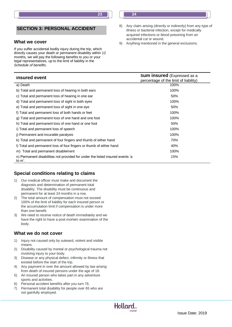# **SECTION 3: PERSONAL ACCIDENT**

#### **What we cover**

If you suffer accidental bodily injury during the trip, which directly causes your death or permanent disability within 12 months, we will pay the following benefits to you or your legal representatives, up to the limit of liability in the *Schedule of benefits*.

| <b>Insured event</b>                                                          | <b>Sum insured</b> (Expressed as a<br>percentage of the limit of liability) |
|-------------------------------------------------------------------------------|-----------------------------------------------------------------------------|
| a) Death                                                                      | 100%                                                                        |
| b) Total and permanent loss of hearing in both ears                           | 100%                                                                        |
| c) Total and permanent loss of hearing in one ear                             | 50%                                                                         |
| d) Total and permanent loss of sight in both eyes                             | 100%                                                                        |
| e) Total and permanent loss of sight in one eye                               | 50%                                                                         |
| f) Total and permanent loss of both hands or feet                             | 100%                                                                        |
| g) Total and permanent loss of one hand and one foot                          | 100%                                                                        |
| h) Total and permanent loss of one hand or one foot                           | 50%                                                                         |
| i) Total and permanent loss of speech                                         | 100%                                                                        |
| j) Permanent and incurable paralysis                                          | 100%                                                                        |
| k) Total and permanent of four fingers and thumb of either hand               | 70%                                                                         |
| I) Total and permanent loss of four fingers or thumb of either hand           | 40%                                                                         |
| m) Total and permanent disablement                                            | 100%                                                                        |
| n) Permanent disabilities not provided for under the listed insured events 'a | 15%                                                                         |

# **Special conditions relating to claims**

- 1) Our medical officer must make and document the diagnosis and determination of permanent total disability. The disability must be continuous and permanent for at least 24 months in a row.
- 2) The total amount of compensation must not exceed 100% of the limit of liability for each insured person or the accumulation limit if compensation is under more than one benefit.
- 3) We need to receive notice of death immediately and we have the right to have a post-mortem examination of the body.

#### **What we do not cover**

to m'.

- 1) Injury not caused only by outward, violent and visible means.
- 2) Disability caused by mental or psychological trauma not involving injury to your body.
- 3) Disease or any physical defect, infirmity or illness that existed before the start of the trip.
- 4) Any payment in over the amount allowed by law arising from death of insured persons under the age of 18.
- 5) An insured person who takes part in any adventure sports and activities.
- 6) Personal accident benefits after you turn 76.
- 7) Permanent total disability for people over 65 who are not gainfully employed.



- 8) Any claim arising (directly or indirectly) from any type of illness or bacterial infection, except for medically acquired infections or blood poisoning from an accidental cut or wound.
- 9) Anything mentioned in the general exclusions.

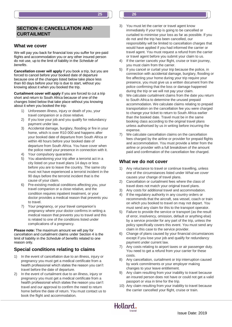## **SECTION 4: CANCELLATION AND CURTAILMENT**

#### **What we cover**

We will pay you back for financial loss you suffer for pre-paid flights and accommodation you or any other insured person do not use, up to the limit of liability in the *Schedule of benefits*.

**Cancellation cover will apply** if you book a trip, but you are forced to cancel before your booked date of departure because one of the changes listed below take place less than 60 days before your trip is due to start, without you knowing about it when you booked the trip.

**Curtailment cover will apply** if you are forced to cut a trip short and return to South Africa because of one of the changes listed below that take place without you knowing about it when you booked the trip:

- 1) Unforeseen illness, injury or death of you, your travel companion or a close relative.
- 2) If you lose your job and you qualify for redundancy payment under law.
- 3) Accidental damage, burglary, flooding or fire in your home, which is over R10 000 and happens after your booked date of departure from South Africa or within 48 hours before your booked date of departure from South Africa. You have cover when the police need your presence in connection with it.
- Your compulsory quarantine.
- 5) You abandoning your trip after a terrorist act in a city listed on your travel plans 14 days or less before you are to leave the country. The same city must not have experienced a terrorist incident in the 90 days before the terrorist incident that is the cause of your claim.
- 6) Pre-existing medical conditions affecting you, your travel companion or a close relative, and the condition requires inpatient treatment, or your doctor provides a medical reason that prevents you to travel.
- 7) Your pregnancy, or your travel companion's pregnancy where your doctor confirms in writing a medical reason that prevents you to travel and this is related to one of the conditions listed under complications of a pregnancy.

**Please note:** The maximum amount we will pay for cancellation and curtailment claims under Section 4 is the limit of liability in the *Schedule of benefits* related to one reason only.

# **Special conditions relating to claims**

- 1) In the event of cancellation due to an illness, injury or pregnancy you must get a medical certificate from a health professional which states the reason you can't travel before the date of departure.
- 2) In the event of curtailment due to an illness, injury or pregnancy you must get a medical certificate from a health professional which states the reason you can't travel and our approval to confirm the need to return home before the date of return. You must contact us to book the flight and accommodation.

3) You must let the carrier or travel agent know immediately if your trip is going to be cancelled or curtailed to minimise your loss as far as possible. If you do not and the trip has been cancelled, our responsibility will be limited to cancellation charges that would have applied if you had informed the carrier or travel agent. You must request a refund from the carrier or travel agent before you submit your claim to us.

**25 26**

- 4) If the carrier cancels your flight, cruise or train journey, you must claim from the carrier.
- 5) If you cancel or curtail your trip because the police, in connection with accidental damage, burglary, flooding or fire affecting your home during your trip require your presence, you must give us a written document from the police confirming that the loss or damage happened during the trip or we will not pay your claim.
- 6) We calculate curtailment claims from the date you return to South Africa to determine the unused prepaid accommodation. We calculate claims relating to prepaid transportation on the cancellation fee you were charged to change your ticket to return to South Africa earlier than the booked date. Travel must be in the same booking class according to the original travel plans unless authorised by us in writing before incurring the expense.
- 7) We calculate cancellation claims on the cancellation fees charged by the airline or provider for prepaid flights and accommodation. You must provide a letter from the airline or provider with a full breakdown of the amount paid and confirmation of the cancellation fee charged.

# **What we do not cover**

- 1) Any reluctance to travel or continue travelling, unless one of the circumstances listed under *What we cover* causes your change of travel plans.
- 2) Cancellation or curtailment fees where the class of travel does not match your original travel plans.
- 3) Any costs for additional travel and accommodation.
- 4) If the regulatory authority in any country orders or recommends that the aircraft, sea vessel, coach or train on which you booked to travel on may not depart. You must send any claim for this to the transport operator.
- 5) Failure to provide the service or transport (as the result of error, insolvency, omission, default or anything else) by a service provider for any part of the trip, unless the policy specifically covers this event. You must send any claim in this case to the service provider.
- 6) Change of plans caused by your financial circumstances except if you lose your job and qualify for redundancy payment under current law.
- 7) Any costs relating to airport taxes or air passenger duty. You need to get a refund from your carrier for these costs.
- 8) Any cancellation, curtailment or trip interruption caused by work commitments or your employer making changes to your leave entitlement.
- 9) Any claim resulting from your inability to travel because an insured person does not have or could not get a valid passport or visa in time for the trip.
- 10) Any claim resulting from your inability to travel because the carrier cancelled your flight, cruise or train.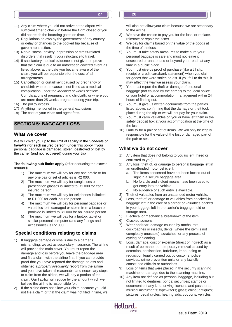- 11) Any claim where you did not arrive at the airport with sufficient time to check in before the flight closed or you did not reach the boarding gates on time.
- 12) Regulations or laws by the government of any country, or delay or changes to the booked trip because of government action.
- 13) Nervousness, anxiety, depression or stress-related disorders that result in your reluctance to travel.
- 14) If satisfactory medical evidence is not given to prove that the claim is due to an unforeseen covered event as listed above, at the date you became aware of the claim, you will be responsible for the cost of all arrangements.
- 15) Cancellation or curtailment caused by pregnancy or childbirth where the cause is not listed as a medical complication under the *Meaning of words* section: Complications of pregnancy and childbirth, or where you are more than 25 weeks pregnant during your trip.
- 16) The policy excess.
- 17) Anything mentioned in the general exclusions.
- 18) The cost of your visas and agent fees.

# **Section 5: Baggage loss SECTION 5: BAGGAGE LOSS**

# **What we cover**

We will cover you up to the limit of liability in the *Schedule of benefits* (for each insured person) under this policy if your personal baggage is damaged, stolen, destroyed or lost by the carrier (and not recovered) during your trip.

#### **The following sub-limits apply** (after deducting the excess amount):

- 1) The maximum we will pay for any one article or for any one pair or set of articles is R2 000.
- 2) The maximum we will pay for sunglasses or prescription glasses is limited to R1 000 for each insured person.
- 3) The maximum we will pay for cellphones is limited to R1 000 for each insured person.
- 4) The maximum we will pay for personal baggage or valuables lost, damaged or stolen from a beach or poolside is limited to R1 000 for an insured person.
- 5) The maximum we will pay for a laptop, tablet or similar personal computer (and any fittings and accessories) is R2 000.

# **Special conditions relating to claims**

- 1) If baggage damage or loss is due to a carrier's mishandling, we act as secondary insurance. The airline will provide the main cover. You must report the damage and loss before you leave the baggage area and file a claim with the airline first. If you can provide proof that you have reported the damage or loss and obtained a *property irregularity* report from the airline and you have taken all reasonable and necessary steps to claim from the airline, we will pay a portion of the claim. Our liability will reduce by the amount which we believe the airline is responsible for.
- 2) If the airline does not allow your claim because you did not file a claim or that the claim was not filed in time, we

will also not allow your claim because we are secondary to the airline.

- 3) We have the choice to pay you for the loss, or replace, reinstate or repair the items.
- 4) We pay for claims based on the value of the goods at the time of the loss.
- 5) You must take safety measures to make sure your personal baggage is safe and must not leave it unsecured or unattended or beyond your reach at any time in a public place.
- 6) You must give us proof of purchase (like a till slip, receipt or credit card/bank statement) when you claim for goods that were stolen or lost. If you fail to do this, it may affect the way we assess your claim.
- 7) You must report the theft or damage of personal baggage (not caused by the carrier) to the local police or your hotel or accommodation management within 24 hours of finding out.
- 8) You must give us written documents from the parties listed above, confirming that the damage or theft took place during the trip or we will not pay for your claim.
- 9) You must carry valuables on you or have left them in the safety deposit box at your accommodation at the time of the loss.
- 10) Liability for a pair or set of items. We will only be legally responsible for the value of the lost or damaged part of the pair or set.

# **What we do not cover**

- 1) Any item that does not belong to you (is lent, hired or entrusted to you).
- 2) Any loss, theft of, or damage to personal baggage left in an unattended motor vehicle if:
	- a. The items concerned have not been locked out of sight in a secure baggage area.
	- b. No forcible and violent means have been used to get entry into the vehicle.
	- c. No evidence of such entry is available.
- 3) Theft of valuables from an unattended motor vehicle.
- 4) Loss, theft of, or damage to valuables from checked-in baggage left in the care of a carrier or valuables packed in your luggage left in the carrier's baggage hold or storage area.
- 5) Electrical or mechanical breakdown of the item.
- 6) Cracked screens.
- 7) Wear and tear, damage caused by moths, rats, cockroaches or insects, dents (where the item is not completely unusable), scratches, or any process of dyeing or cleaning.
- 8) Loss, damage, cost or expense (direct or indirect) as a result of permanent or temporary removal caused by detention, confiscation, forfeiture, impounding or requisition legally carried out by customs, police services, crime prevention units or any lawfully constituted officials or authorities.
- 9) Loss of items that were placed in the security scanning machine, or damage due to the scanning machine.
- 10) Any item not defined as personal baggage, including but not limited to dentures; bonds; securities; stamps or documents of any kind, driving licences and passports; musical instruments; typewriters; glass; china; antiques; pictures; pedal cycles; hearing aids; coupons; vehicles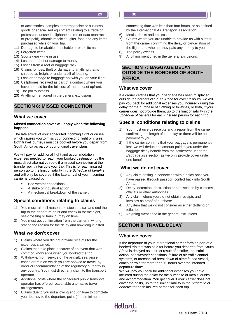or accessories; samples or merchandise or business goods or specialised equipment relating to a trade or profession, unused cellphone airtime or data (contract or pre-paid), chronic medicine, gifts, food and any items purchased while on your trip.

- 11) Damage to breakable, perishable or brittle items.
- 12) Forgotten items.
- 13) Sports gear while in use.
- 14) Loss or theft of or damage to money.
- 15) Losses from a roof or baggage rack.
- 16) Claims for loss, theft or damage to anything that is shipped as freight or under a bill of loading.
- 17) Loss or damage to baggage not with you on your flight.
- 18) Cellphones received as part of a contract where you have not paid for the full cost of the handset upfront.
- 19) The policy excess.
- 20) Anything mentioned in the general exclusions.

# **Section 6: Missed connection SECTION 6: MISSED CONNECTION**

#### **What we cover**

#### **Missed connection cover will apply when the following happens:**

The late arrival of your scheduled incoming flight or cruise, which causes you to miss your connecting flight or cruise. Both travel journeys must be booked before you depart from South Africa as part of your original travel plans.

We will pay for additional flight and accommodation expenses needed to reach your booked destination by the most direct alternative route if a missed connection at the transfer point interrupts your trip. This is for each insured person up to the limit of liability in the *Schedule of benefits* and will only be covered if the late arrival of your incoming carrier is caused by:

- Bad weather conditions
- A strike or industrial action
- A mechanical breakdown of the carrier.

# **Special conditions relating to claims**

- 1) You must take all reasonable steps to start and end the trip to the departure point and check in for the flight, sea-crossing or train journey on time.
- 2) You must get confirmation from the carrier in writing stating the reason for the delay and how long it lasted.

#### **What we don't cover**

- 1) Claims where you did not provide receipts for the expenses claimed.
- 2) Claims that take place because of an event that was common knowledge when you booked the trip.
- 3) Withdrawal from service of the aircraft, sea vessel, coach or train on which you are booked to travel, by order or recommendation of the regulatory authority in any country. You must direct any claim to the transport operator.
- 4) Additional costs where the scheduled public transport operator has offered reasonable alternative travel arrangements.
- 5) Claims due to you not allowing enough time to complete your journey to the departure point (if the minimum

connecting time was less than four hours, or as defined by the International Air Transport Association).

- 6) Meals, drinks and taxi costs.
- 7) Claims where you are unable to provide us with a letter from the carrier confirming the delay or cancellation of the flight, and whether they paid any money to you.
- 8) The policy excess.
- 9) Anything mentioned in the general exclusions.

# **SECTION 7: BAGGAGE DELAY OUTSIDE THE BORDERS OF SOUTH AFRICA**

#### **What we cover**

If a carrier certifies that your baggage has been misplaced outside the borders of South Africa for over 12 hours, we will pay you back for additional expenses you incurred during the delay for the purchase of clothing or toiletries, or both, if your carrier does not provide them, up to the limit of liability in the *Schedule of benefits* for each insured person for each trip.

#### **Special conditions relating to claims**

- You must give us receipts and a report from the carrier confirming the length of the delay or there will be no payment to you.
- 2) If the carrier confirms that your baggage is permanently lost, we will deduct the amount paid to you under the baggage delay benefit from the settlement under the *Baggage loss* section as we only provide cover under one benefit.

#### **What we do not cover**

- 1) Any claim arising in connection with a delay once you have passed through passport control back into South Africa.
- 2) Delay, detention, destruction or confiscation by customs officials or other authorities.
- 3) Any claim where you did not obtain receipts and invoices as proof of purchase.
- 4) Any item that we do not consider as either clothing or toiletries.
- 5) Anything mentioned in the general exclusions.

# **Section 8: Travel delay SECTION 8: TRAVEL DELAY**

#### **What we cover**

If the departure of your international carrier forming part of a booked trip that was paid for before you departed from South Africa is delayed as a direct result of a strike, industrial action, bad weather conditions, failure of air traffic control systems, or mechanical breakdown of aircraft, sea vessel, coach or train for more than 12 hours over the intended departure time:

We will pay you back for additional expenses you have incurred during the delay for the purchase of meals, drinks and accommodation. You get cover if your carrier does not cover the costs, up to the limit of liability in the *Schedule of benefits* for each insured person for each trip.

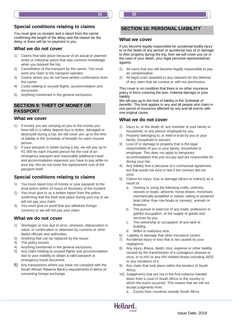# **Special conditions relating to claims**

You must give us receipts and a report from the carrier confirming the length of the delay and the reason for the delay or there will be no payment to you.

#### **What we do not cover**

- 1) Claims that take place because of an actual or planned strike or industrial action that was common knowledge when you booked the trip.
- 2) Cancellation of the transport by the carrier. You must send any claim to the transport operator.
- 3) Claims where you do not have written confirmation from the carrier.
- 4) Costs relating to unused flights, accommodation and excursions.
- 5) Anything mentioned in the general exclusions.

## **Section 9: Theft of money or passport SECTION 9: THEFT OF MONEY OR PASSPORT**

#### **What we cover**

- 1) If money you are carrying on you or the money you have left in a safety deposit box is stolen, damaged or destroyed during a trip, we will cover you up to the limit of liability in the *Schedule of benefits* for each insured person.
- 2) If your passport is stolen during a trip, we will pay up to R1 000 for each insured person for the cost of an emergency passport and reasonable additional travel and accommodation expenses you have to pay while on your trip. We do not cover the replacement cost of the passport itself.

# **Special conditions relating to claims**

- 1) You must report loss of money or your passport to the local police within 24 hours of discovery of the incident.
- 2) You must give to us a written report from the police confirming that the theft took place during your trip or we will not pay your claim.
- 3) You must give us proof that you withdrew foreign currency or we will not pay your claim.

#### **What we do not cover**

- 1) Shortages or loss due to error, omission, depreciation in value, or confiscation or detention by customs or other lawful officials and authorities.
- 2) Anything that can be replaced by the issuer.
- 3) The policy excess.
- 4) Anything mentioned in the general exclusions.
- 5) Any claim relating to unused flights and accommodation due to your inability to obtain a valid passport or emergency travel document.
- 6) Any transactions where you have not complied with the South African Reserve Bank's requirements in terms of converting foreign exchange.

# **SECTION 10: PERSONAL LIABILITY**

#### **What we cover**

If you become legally responsible for accidental bodily injury to or the death of any person or accidental loss of or damage to their property during the trip, then we will cover you (or in the case of your death, your legal personal representative) against:

- 1) All sums that you will become legally responsible to pay as compensation
- 2) All legal costs awarded to any claimant for the defense of any claim that we contest or with our permission.

This cover is on condition that there is no other insurance policy in force covering the loss, material damage or your liability.

We will pay up to the limit of liability in the *Schedule of benefits*. This limit applies to any and all people who claim in one period of insurance affected by any and all events with one original cause.

#### **What we do not cover**

- 1) Injury to, or the death of, any member of your family or household, or any person employed by you.
- 2) Property belonging to, or held in trust by you or your family, household or servant.
- 3) Loss of or damage to property that is the legal responsibility of you or your family, household or employee. This does not apply to temporary accommodation that you occupy and are responsible for during your trip.
- 4) Any liability that is because of a contractual agreement, but that would not exist in law if the contract did not exist.
- 5) Claims for injury, loss or damage (direct or indirect) as a result of:
	- a. Owning or using the following crafts, vehicles, vessels or boats: airborne, horse-drawn, motorised, mechanically propelled or towed, sailing or powered boat (other than row boats or canoes), animals or firearms.
	- b. The pursuit or exercise of any trade, profession or gainful occupation, or the supply of goods and services by you.
	- c. The ownership or occupation of any land or building.
	- d. Wilful or malicious acts.

Hollard.

trnvel

- 6) Liability or damage that other insurance covers.
- 7) Accidental injury or loss that is not caused by your negligence.
- 8) Any injury, illness, death, loss, expense or other liability caused by the transmission of a contagious disease or virus, or to HIV or any HIV-related illness including AIDS or any variations of it.
- 9) Any claim that took place within the borders of South Africa.
- 10) Judgements that are not in the first instance handed down from a court in South Africa or the country in which the event occurred. This means that we will not accept judgments from:
	- a. Courts from countries outside South Africa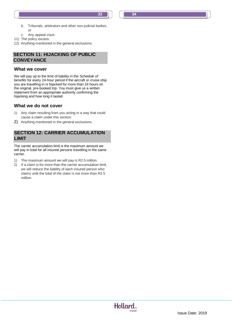- b. Tribunals, arbitrators and other non-judicial bodies; or
- c. Any appeal court.
- 11) The policy excess.
- 12) Anything mentioned in the general exclusions.

# **SECONVEYANCE SECTION 11: HIJACKING OF PUBLIC**

#### **What we cover**

We will pay up to the limit of liability in the *Schedule of benefits* for every 24-hour period if the aircraft or cruise ship you are travelling in is hijacked for more than 24 hours on the original, pre-booked trip. You must give us a written statement from an appropriate authority confirming the hijacking and how long it lasted.

#### **What we do not cover**

- 1) Any claim resulting from you acting in a way that could cause a claim under this section.
- 2) Anything mentioned in the general exclusions.

# **Section 12: Carrier accumulation limit LIMITSECTION 12: CARRIER ACCUMULATION**

The carrier accumulation limit is the maximum amount we will pay in total for all insured persons travelling in the same carrier.

- 1) The maximum amount we will pay is R2.5 million.
- 2) If a claim is for more than the carrier accumulation limit, we will reduce the liability of each insured person who claims until the total of the claim is not more than R2.5 million.

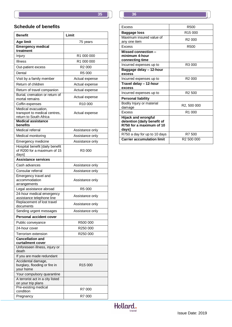

# **Schedule of benefits**

| <b>Benefit</b>                                                                                                                                                                                                                                                                                                                                                                                                                                                                                                                                                                                                                                   | Limit                                                                                                                                                                                                                                                                          |
|--------------------------------------------------------------------------------------------------------------------------------------------------------------------------------------------------------------------------------------------------------------------------------------------------------------------------------------------------------------------------------------------------------------------------------------------------------------------------------------------------------------------------------------------------------------------------------------------------------------------------------------------------|--------------------------------------------------------------------------------------------------------------------------------------------------------------------------------------------------------------------------------------------------------------------------------|
| <b>Age limit</b>                                                                                                                                                                                                                                                                                                                                                                                                                                                                                                                                                                                                                                 | 75 years                                                                                                                                                                                                                                                                       |
| <b>Emergency medical</b><br>treatment                                                                                                                                                                                                                                                                                                                                                                                                                                                                                                                                                                                                            |                                                                                                                                                                                                                                                                                |
| Injury                                                                                                                                                                                                                                                                                                                                                                                                                                                                                                                                                                                                                                           | R1 000 000                                                                                                                                                                                                                                                                     |
| Illness                                                                                                                                                                                                                                                                                                                                                                                                                                                                                                                                                                                                                                          | R1 000 000                                                                                                                                                                                                                                                                     |
| Out-patient excess                                                                                                                                                                                                                                                                                                                                                                                                                                                                                                                                                                                                                               | R <sub>2</sub> 000                                                                                                                                                                                                                                                             |
| Dental                                                                                                                                                                                                                                                                                                                                                                                                                                                                                                                                                                                                                                           | R <sub>5</sub> 000                                                                                                                                                                                                                                                             |
|                                                                                                                                                                                                                                                                                                                                                                                                                                                                                                                                                                                                                                                  | Actual expense                                                                                                                                                                                                                                                                 |
| Return of children                                                                                                                                                                                                                                                                                                                                                                                                                                                                                                                                                                                                                               |                                                                                                                                                                                                                                                                                |
|                                                                                                                                                                                                                                                                                                                                                                                                                                                                                                                                                                                                                                                  |                                                                                                                                                                                                                                                                                |
| Burial, cremation or return of                                                                                                                                                                                                                                                                                                                                                                                                                                                                                                                                                                                                                   |                                                                                                                                                                                                                                                                                |
| mortal remains                                                                                                                                                                                                                                                                                                                                                                                                                                                                                                                                                                                                                                   |                                                                                                                                                                                                                                                                                |
|                                                                                                                                                                                                                                                                                                                                                                                                                                                                                                                                                                                                                                                  |                                                                                                                                                                                                                                                                                |
|                                                                                                                                                                                                                                                                                                                                                                                                                                                                                                                                                                                                                                                  |                                                                                                                                                                                                                                                                                |
| return to South Africa                                                                                                                                                                                                                                                                                                                                                                                                                                                                                                                                                                                                                           |                                                                                                                                                                                                                                                                                |
| <b>Medical assistance</b><br>benefits                                                                                                                                                                                                                                                                                                                                                                                                                                                                                                                                                                                                            |                                                                                                                                                                                                                                                                                |
| Medical referral                                                                                                                                                                                                                                                                                                                                                                                                                                                                                                                                                                                                                                 | Assistance only                                                                                                                                                                                                                                                                |
| Medical monitoring                                                                                                                                                                                                                                                                                                                                                                                                                                                                                                                                                                                                                               | Assistance only                                                                                                                                                                                                                                                                |
| Emergency medicine                                                                                                                                                                                                                                                                                                                                                                                                                                                                                                                                                                                                                               | Assistance only                                                                                                                                                                                                                                                                |
| Hospital benefit [daily benefit                                                                                                                                                                                                                                                                                                                                                                                                                                                                                                                                                                                                                  |                                                                                                                                                                                                                                                                                |
|                                                                                                                                                                                                                                                                                                                                                                                                                                                                                                                                                                                                                                                  |                                                                                                                                                                                                                                                                                |
|                                                                                                                                                                                                                                                                                                                                                                                                                                                                                                                                                                                                                                                  |                                                                                                                                                                                                                                                                                |
|                                                                                                                                                                                                                                                                                                                                                                                                                                                                                                                                                                                                                                                  |                                                                                                                                                                                                                                                                                |
|                                                                                                                                                                                                                                                                                                                                                                                                                                                                                                                                                                                                                                                  |                                                                                                                                                                                                                                                                                |
|                                                                                                                                                                                                                                                                                                                                                                                                                                                                                                                                                                                                                                                  |                                                                                                                                                                                                                                                                                |
| accommodation                                                                                                                                                                                                                                                                                                                                                                                                                                                                                                                                                                                                                                    | Assistance only                                                                                                                                                                                                                                                                |
| arrangements                                                                                                                                                                                                                                                                                                                                                                                                                                                                                                                                                                                                                                     |                                                                                                                                                                                                                                                                                |
|                                                                                                                                                                                                                                                                                                                                                                                                                                                                                                                                                                                                                                                  |                                                                                                                                                                                                                                                                                |
|                                                                                                                                                                                                                                                                                                                                                                                                                                                                                                                                                                                                                                                  | Assistance only                                                                                                                                                                                                                                                                |
| Replacement of lost travel                                                                                                                                                                                                                                                                                                                                                                                                                                                                                                                                                                                                                       |                                                                                                                                                                                                                                                                                |
|                                                                                                                                                                                                                                                                                                                                                                                                                                                                                                                                                                                                                                                  |                                                                                                                                                                                                                                                                                |
|                                                                                                                                                                                                                                                                                                                                                                                                                                                                                                                                                                                                                                                  |                                                                                                                                                                                                                                                                                |
|                                                                                                                                                                                                                                                                                                                                                                                                                                                                                                                                                                                                                                                  |                                                                                                                                                                                                                                                                                |
|                                                                                                                                                                                                                                                                                                                                                                                                                                                                                                                                                                                                                                                  |                                                                                                                                                                                                                                                                                |
|                                                                                                                                                                                                                                                                                                                                                                                                                                                                                                                                                                                                                                                  |                                                                                                                                                                                                                                                                                |
| Terrorism extension                                                                                                                                                                                                                                                                                                                                                                                                                                                                                                                                                                                                                              | R <sub>250</sub> 000                                                                                                                                                                                                                                                           |
|                                                                                                                                                                                                                                                                                                                                                                                                                                                                                                                                                                                                                                                  |                                                                                                                                                                                                                                                                                |
|                                                                                                                                                                                                                                                                                                                                                                                                                                                                                                                                                                                                                                                  |                                                                                                                                                                                                                                                                                |
| death                                                                                                                                                                                                                                                                                                                                                                                                                                                                                                                                                                                                                                            |                                                                                                                                                                                                                                                                                |
| If you are made redundant                                                                                                                                                                                                                                                                                                                                                                                                                                                                                                                                                                                                                        |                                                                                                                                                                                                                                                                                |
|                                                                                                                                                                                                                                                                                                                                                                                                                                                                                                                                                                                                                                                  |                                                                                                                                                                                                                                                                                |
|                                                                                                                                                                                                                                                                                                                                                                                                                                                                                                                                                                                                                                                  |                                                                                                                                                                                                                                                                                |
| Your compulsory quarantine                                                                                                                                                                                                                                                                                                                                                                                                                                                                                                                                                                                                                       |                                                                                                                                                                                                                                                                                |
| A terrorist act in a city listed                                                                                                                                                                                                                                                                                                                                                                                                                                                                                                                                                                                                                 |                                                                                                                                                                                                                                                                                |
| on your trip plans                                                                                                                                                                                                                                                                                                                                                                                                                                                                                                                                                                                                                               |                                                                                                                                                                                                                                                                                |
| condition                                                                                                                                                                                                                                                                                                                                                                                                                                                                                                                                                                                                                                        | R7 000                                                                                                                                                                                                                                                                         |
| Pregnancy                                                                                                                                                                                                                                                                                                                                                                                                                                                                                                                                                                                                                                        | R7 000                                                                                                                                                                                                                                                                         |
| Visit by a family member<br>Return of travel companion<br>Coffin expenses<br>Medical evacuation,<br>transport to medical centres,<br>of R200 for a maximum of 15<br>days]<br>Assistance services<br>Cash advances<br>Consular referral<br>Emergency travel and<br>Legal assistance abroad<br>24-hour medical emergency<br>assistance telephone line<br>documents<br>Sending urgent messages<br><b>Personal accident cover</b><br>Public conveyance<br>24-hour cover<br><b>Cancellation and</b><br>curtailment cover<br>Unforeseen illness, injury or<br>Accidental damage,<br>burglary, flooding or fire in<br>your home<br>Pre-existing medical | Actual expense<br>Actual expense<br>Actual expense<br>R <sub>10</sub> 000<br>Actual expense<br>R <sub>3</sub> 000<br>Assistance only<br>Assistance only<br>R <sub>5</sub> 000<br>Assistance only<br>Assistance only<br>R500 000<br>R <sub>250</sub> 000<br>R <sub>15</sub> 000 |

| _____ |  |  |
|-------|--|--|
|       |  |  |
|       |  |  |
|       |  |  |
|       |  |  |
|       |  |  |
|       |  |  |
|       |  |  |
|       |  |  |
|       |  |  |
|       |  |  |

| R <sub>500</sub>       |
|------------------------|
| R <sub>15</sub> 000    |
| R <sub>2</sub> 000     |
| R500                   |
|                        |
| R3 000                 |
|                        |
| R <sub>2</sub> 000     |
|                        |
| R <sub>2</sub> 500     |
|                        |
| R2, 500 000            |
| R <sub>1</sub> 000     |
|                        |
| R7 500                 |
| R <sub>2</sub> 500 000 |
|                        |

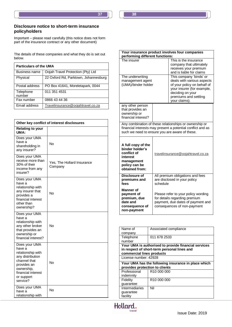#### **Disclosure notice to short-term insurance policyholders**

Important – please read carefully (this notice does not form part of the insurance contract or any other document)

The details of these companies and what they do is set out below.

| <b>Particulars of the UMA</b> |                                      |  |  |
|-------------------------------|--------------------------------------|--|--|
| <b>Business name</b>          | Oojah Travel Protection (Pty) Ltd    |  |  |
| Physical                      | 22 Oxford Rd, Parktown, Johannesburg |  |  |
| Postal address                | PO Box 41641, Moreletapark, 0044     |  |  |
| Telephone<br>number           | 011 351 4531                         |  |  |
| Fax number                    | 0866 43 44 36                        |  |  |
| Email address                 | Travelinsurance@oojahtravel.co.za    |  |  |

| Other key conflict of interest disclosures                                                                                                                    |                                       |  |
|---------------------------------------------------------------------------------------------------------------------------------------------------------------|---------------------------------------|--|
| <b>Relating to your</b><br>UMA:                                                                                                                               |                                       |  |
| Does your UMA<br>have a<br>shareholding in<br>any insurer?                                                                                                    | No                                    |  |
| Does your UMA<br>receive more than<br>30% of their<br>income from any<br>insurer?                                                                             | Yes, The Hollard Insurance<br>Company |  |
| Does your UMA<br>have a<br>relationship with<br>any insurer that<br>provides a<br>financial interest<br>other than<br>ownership?                              | No                                    |  |
| Does your UMA<br>have a<br>relationship with<br>any other broker<br>that provides an<br>ownership or<br>financial interest?                                   | No                                    |  |
| Does your UMA<br>have a<br>relationship with<br>any distribution<br>channel that<br>provides an<br>ownership,<br>financial interest<br>or support<br>service? | No                                    |  |
| Does your UMA<br>have a<br>relationship with                                                                                                                  | No                                    |  |

| Your insurance product involves four companies<br>performing different functions:                                                                                       |                                                                                                                                          |                                                                                                                                                                                  |  |
|-------------------------------------------------------------------------------------------------------------------------------------------------------------------------|------------------------------------------------------------------------------------------------------------------------------------------|----------------------------------------------------------------------------------------------------------------------------------------------------------------------------------|--|
| The insurer                                                                                                                                                             |                                                                                                                                          | This is the insurance<br>company that ultimately<br>receives your premium<br>and is liable for claims                                                                            |  |
| The underwriting<br>management agent<br>(UMA)/binder holder                                                                                                             |                                                                                                                                          | This company 'binds' or<br>deals with various aspects<br>of your policy on behalf of<br>your insurer (for example,<br>deciding on your<br>premiums and settling<br>your claims). |  |
| any other person<br>that provides an<br>ownership or<br>financial interest?                                                                                             |                                                                                                                                          |                                                                                                                                                                                  |  |
| Any combination of these relationships or ownership or<br>financial interests may present a potential conflict and as<br>such we need to ensure you are aware of these. |                                                                                                                                          |                                                                                                                                                                                  |  |
| A full copy of the<br>binder holder's<br>conflict of<br>interest<br>management<br>policy can be<br>obtained from:                                                       | travelinsurance@oojahtravel.co.za                                                                                                        |                                                                                                                                                                                  |  |
| Disclosure of<br>premiums and<br>fees                                                                                                                                   | All premium obligations and fees<br>are disclosed in your policy<br>schedule                                                             |                                                                                                                                                                                  |  |
| <b>Manner</b> of<br>payment of<br>premium, due<br>date and<br>consequence of<br>non-payment                                                                             | Please refer to your policy wording<br>for details regarding premium<br>payment, due dates of payment and<br>consequences of non-payment |                                                                                                                                                                                  |  |

| Name of                                              | Associated compliance                       |  |  |
|------------------------------------------------------|---------------------------------------------|--|--|
| company                                              |                                             |  |  |
| Telephone                                            | 011 678 2533                                |  |  |
| number                                               |                                             |  |  |
| Your UMA is authorised to provide financial services |                                             |  |  |
|                                                      | in respect of short-term personal lines and |  |  |
| commercial lines products                            |                                             |  |  |
| License number: 42928                                |                                             |  |  |
| Your UMA has the following insurance in place which  |                                             |  |  |
| provides protection to clients                       |                                             |  |  |
| Professional                                         | R <sub>10</sub> 000 000                     |  |  |
| indemnity                                            |                                             |  |  |
| Fidelity                                             | R10 000 000                                 |  |  |
| guarantee                                            |                                             |  |  |
| Intermediaries                                       | Nil                                         |  |  |
| guarantee                                            |                                             |  |  |
| facility                                             |                                             |  |  |
|                                                      |                                             |  |  |